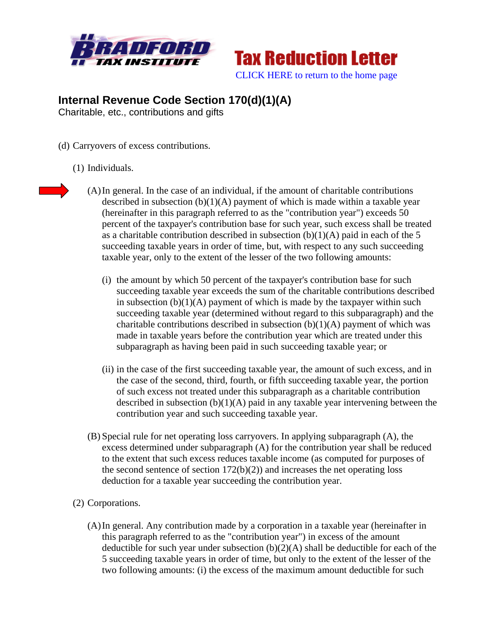



## **Internal Revenue Code Section 170(d)(1)(A)**

Charitable, etc., contributions and gifts

- (d) Carryovers of excess contributions.
	- (1) Individuals.
- 
- (A)In general. In the case of an individual, if the amount of charitable contributions described in subsection  $(b)(1)(A)$  payment of which is made within a taxable year (hereinafter in this paragraph referred to as the "contribution year") exceeds 50 percent of the taxpayer's contribution base for such year, such excess shall be treated as a charitable contribution described in subsection  $(b)(1)(A)$  paid in each of the 5 succeeding taxable years in order of time, but, with respect to any such succeeding taxable year, only to the extent of the lesser of the two following amounts:
	- (i) the amount by which 50 percent of the taxpayer's contribution base for such succeeding taxable year exceeds the sum of the charitable contributions described in subsection  $(b)(1)(A)$  payment of which is made by the taxpayer within such succeeding taxable year (determined without regard to this subparagraph) and the charitable contributions described in subsection  $(b)(1)(A)$  payment of which was made in taxable years before the contribution year which are treated under this subparagraph as having been paid in such succeeding taxable year; or
	- (ii) in the case of the first succeeding taxable year, the amount of such excess, and in the case of the second, third, fourth, or fifth succeeding taxable year, the portion of such excess not treated under this subparagraph as a charitable contribution described in subsection  $(b)(1)(A)$  paid in any taxable year intervening between the contribution year and such succeeding taxable year.
- (B) Special rule for net operating loss carryovers. In applying subparagraph (A), the excess determined under subparagraph (A) for the contribution year shall be reduced to the extent that such excess reduces taxable income (as computed for purposes of the second sentence of section  $172(b)(2)$  and increases the net operating loss deduction for a taxable year succeeding the contribution year.
- (2) Corporations.
	- (A)In general. Any contribution made by a corporation in a taxable year (hereinafter in this paragraph referred to as the "contribution year") in excess of the amount deductible for such year under subsection  $(b)(2)(A)$  shall be deductible for each of the 5 succeeding taxable years in order of time, but only to the extent of the lesser of the two following amounts: (i) the excess of the maximum amount deductible for such